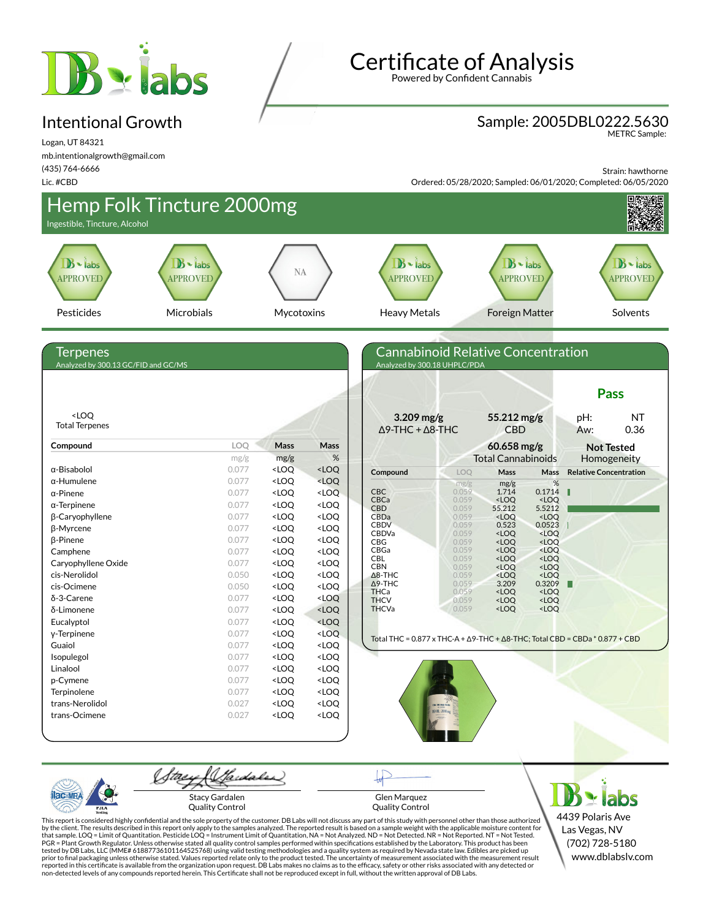

#### Intentional Growth

Logan, UT 84321 mb.intentionalgrowth@gmail.com (435) 764-6666

Lic. #CBD

**Certificate of Analysis** 

Powered by Confident Cannabis

### Sample: 2005DBL0222.5630

METRC Sample:

Strain: hawthorne

Ordered: 05/28/2020; Sampled: 06/01/2020; Completed: 06/05/2020



Quality Control

PJL/

Glen Marquez Quality Control

4439 Polaris Ave Las Vegas, NV (702) 728-5180 www.dblabslv.com

This report is considered highly confidential and the sole property of the customer. DB Labs will not discuss any part of this study with personnel other than those authorized<br>by the client. The results described in this r tested by DB Labs, LLC (MME# 61887736101164525768) using valid testing methodologies and a quality system as required by Nevada state law. Edibles are picked up<br>prior to final packaging unless otherwise stated. Values repo